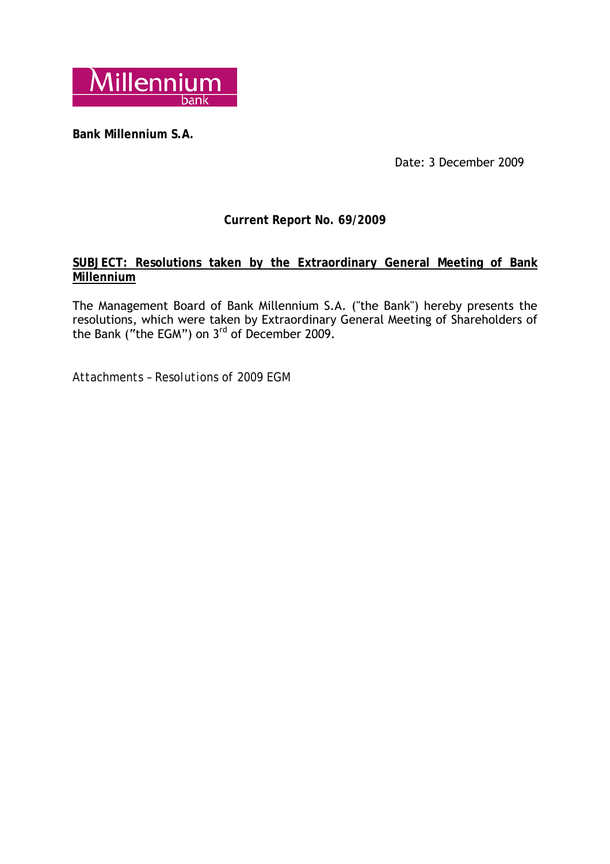

**Bank Millennium S.A.** 

Date: 3 December 2009

# **Current Report No. 69/2009**

## **SUBJECT: Resolutions taken by the Extraordinary General Meeting of Bank Millennium**

The Management Board of Bank Millennium S.A. ("the Bank") hereby presents the resolutions, which were taken by Extraordinary General Meeting of Shareholders of the Bank ("the EGM") on  $3^{rd}$  of December 2009.

*Attachments – Resolutions of 2009 EGM*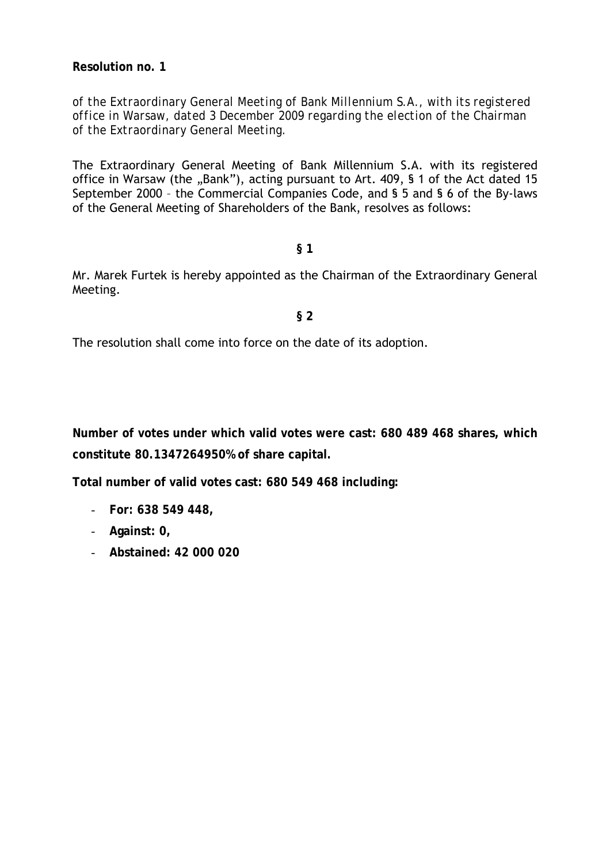**Resolution no. 1** 

*of the Extraordinary General Meeting of Bank Millennium S.A., with its registered office in Warsaw, dated 3 December 2009 regarding the election of the Chairman of the Extraordinary General Meeting.* 

The Extraordinary General Meeting of Bank Millennium S.A. with its registered office in Warsaw (the "Bank"), acting pursuant to Art. 409, § 1 of the Act dated 15 September 2000 – the Commercial Companies Code, and § 5 and § 6 of the By-laws of the General Meeting of Shareholders of the Bank, resolves as follows:

#### **§ 1**

Mr. Marek Furtek is hereby appointed as the Chairman of the Extraordinary General Meeting.

#### **§ 2**

The resolution shall come into force on the date of its adoption.

**Number of votes under which valid votes were cast: 680 489 468 shares, which constitute 80.1347264950% of share capital.** 

**Total number of valid votes cast: 680 549 468 including:** 

- **For: 638 549 448,**
- **Against: 0,**
- **Abstained: 42 000 020**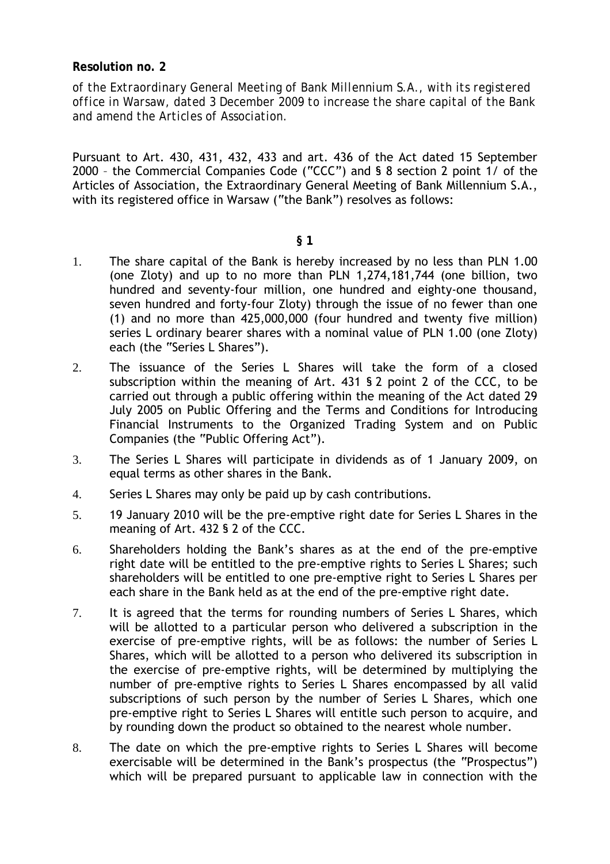### **Resolution no. 2**

*of the Extraordinary General Meeting of Bank Millennium S.A., with its registered office in Warsaw, dated 3 December 2009 to increase the share capital of the Bank and amend the Articles of Association.* 

Pursuant to Art. 430, 431, 432, 433 and art. 436 of the Act dated 15 September 2000 – the Commercial Companies Code ("CCC") and § 8 section 2 point 1/ of the Articles of Association, the Extraordinary General Meeting of Bank Millennium S.A., with its registered office in Warsaw ("the Bank") resolves as follows:

#### **§ 1**

- 1. The share capital of the Bank is hereby increased by no less than PLN 1.00 (one Zloty) and up to no more than PLN 1,274,181,744 (one billion, two hundred and seventy-four million, one hundred and eighty-one thousand, seven hundred and forty-four Zloty) through the issue of no fewer than one (1) and no more than 425,000,000 (four hundred and twenty five million) series L ordinary bearer shares with a nominal value of PLN 1.00 (one Zloty) each (the "Series L Shares").
- 2. The issuance of the Series L Shares will take the form of a closed subscription within the meaning of Art. 431 § 2 point 2 of the CCC, to be carried out through a public offering within the meaning of the Act dated 29 July 2005 on Public Offering and the Terms and Conditions for Introducing Financial Instruments to the Organized Trading System and on Public Companies (the "Public Offering Act").
- 3. The Series L Shares will participate in dividends as of 1 January 2009, on equal terms as other shares in the Bank.
- 4. Series L Shares may only be paid up by cash contributions.
- 5. 19 January 2010 will be the pre-emptive right date for Series L Shares in the meaning of Art. 432 § 2 of the CCC.
- 6. Shareholders holding the Bank's shares as at the end of the pre-emptive right date will be entitled to the pre-emptive rights to Series L Shares; such shareholders will be entitled to one pre-emptive right to Series L Shares per each share in the Bank held as at the end of the pre-emptive right date.
- 7. It is agreed that the terms for rounding numbers of Series L Shares, which will be allotted to a particular person who delivered a subscription in the exercise of pre-emptive rights, will be as follows: the number of Series L Shares, which will be allotted to a person who delivered its subscription in the exercise of pre-emptive rights, will be determined by multiplying the number of pre-emptive rights to Series L Shares encompassed by all valid subscriptions of such person by the number of Series L Shares, which one pre-emptive right to Series L Shares will entitle such person to acquire, and by rounding down the product so obtained to the nearest whole number.
- 8. The date on which the pre-emptive rights to Series L Shares will become exercisable will be determined in the Bank's prospectus (the "Prospectus") which will be prepared pursuant to applicable law in connection with the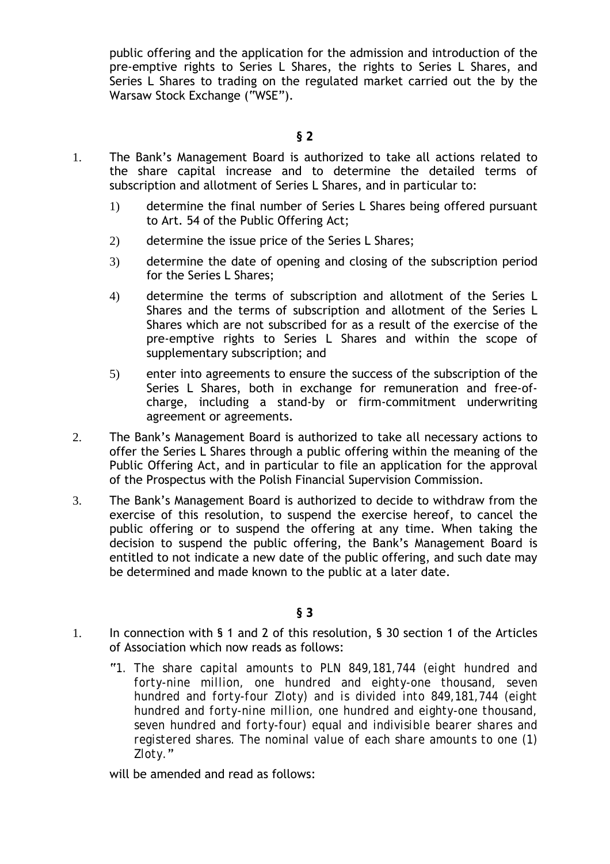public offering and the application for the admission and introduction of the pre-emptive rights to Series L Shares, the rights to Series L Shares, and Series L Shares to trading on the regulated market carried out the by the Warsaw Stock Exchange ("WSE").

- 1. The Bank's Management Board is authorized to take all actions related to the share capital increase and to determine the detailed terms of subscription and allotment of Series L Shares, and in particular to:
	- 1) determine the final number of Series L Shares being offered pursuant to Art. 54 of the Public Offering Act;
	- 2) determine the issue price of the Series L Shares;
	- 3) determine the date of opening and closing of the subscription period for the Series L Shares;
	- 4) determine the terms of subscription and allotment of the Series L Shares and the terms of subscription and allotment of the Series L Shares which are not subscribed for as a result of the exercise of the pre-emptive rights to Series L Shares and within the scope of supplementary subscription; and
	- 5) enter into agreements to ensure the success of the subscription of the Series L Shares, both in exchange for remuneration and free-ofcharge, including a stand-by or firm-commitment underwriting agreement or agreements.
- 2. The Bank's Management Board is authorized to take all necessary actions to offer the Series L Shares through a public offering within the meaning of the Public Offering Act, and in particular to file an application for the approval of the Prospectus with the Polish Financial Supervision Commission.
- 3. The Bank's Management Board is authorized to decide to withdraw from the exercise of this resolution, to suspend the exercise hereof, to cancel the public offering or to suspend the offering at any time. When taking the decision to suspend the public offering, the Bank's Management Board is entitled to not indicate a new date of the public offering, and such date may be determined and made known to the public at a later date.

- 1. In connection with § 1 and 2 of this resolution, § 30 section 1 of the Articles of Association which now reads as follows:
	- "*1. The share capital amounts to PLN 849,181,744 (eight hundred and forty-nine million, one hundred and eighty-one thousand, seven hundred and forty-four Zloty) and is divided into 849,181,744 (eight hundred and forty-nine million, one hundred and eighty-one thousand, seven hundred and forty-four) equal and indivisible bearer shares and registered shares. The nominal value of each share amounts to one (1) Zloty.*"

will be amended and read as follows: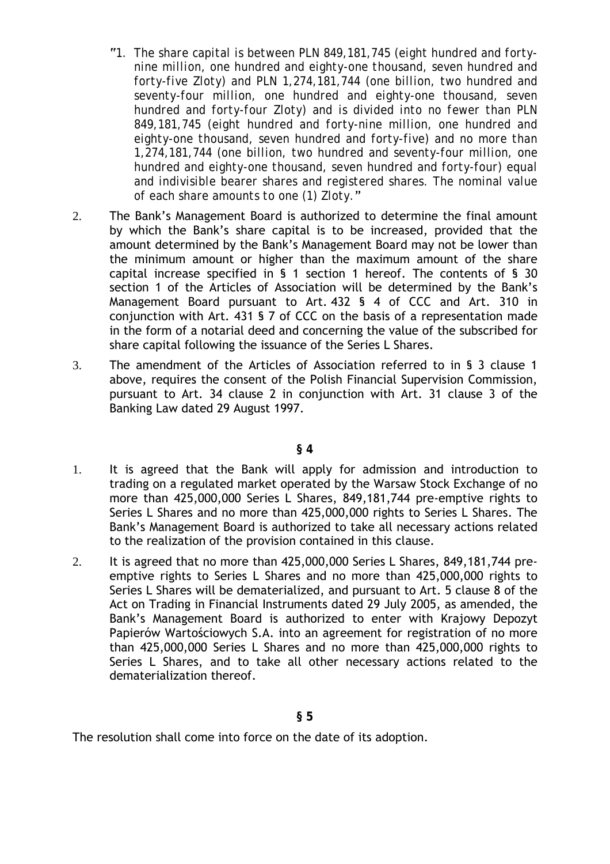- "*1. The share capital is between PLN 849,181,745 (eight hundred and fortynine million, one hundred and eighty-one thousand, seven hundred and forty-five Zloty) and PLN 1,274,181,744 (one billion, two hundred and seventy-four million, one hundred and eighty-one thousand, seven hundred and forty-four Zloty) and is divided into no fewer than PLN 849,181,745 (eight hundred and forty-nine million, one hundred and eighty-one thousand, seven hundred and forty-five) and no more than 1,274,181,744 (one billion, two hundred and seventy-four million, one hundred and eighty-one thousand, seven hundred and forty-four) equal and indivisible bearer shares and registered shares. The nominal value of each share amounts to one (1) Zloty.*"
- 2. The Bank's Management Board is authorized to determine the final amount by which the Bank's share capital is to be increased, provided that the amount determined by the Bank's Management Board may not be lower than the minimum amount or higher than the maximum amount of the share capital increase specified in § 1 section 1 hereof. The contents of § 30 section 1 of the Articles of Association will be determined by the Bank's Management Board pursuant to Art. 432 § 4 of CCC and Art. 310 in conjunction with Art. 431 § 7 of CCC on the basis of a representation made in the form of a notarial deed and concerning the value of the subscribed for share capital following the issuance of the Series L Shares.
- 3. The amendment of the Articles of Association referred to in § 3 clause 1 above, requires the consent of the Polish Financial Supervision Commission, pursuant to Art. 34 clause 2 in conjunction with Art. 31 clause 3 of the Banking Law dated 29 August 1997.

#### **§ 4**

- 1. It is agreed that the Bank will apply for admission and introduction to trading on a regulated market operated by the Warsaw Stock Exchange of no more than 425,000,000 Series L Shares, 849,181,744 pre-emptive rights to Series L Shares and no more than 425,000,000 rights to Series L Shares. The Bank's Management Board is authorized to take all necessary actions related to the realization of the provision contained in this clause.
- 2. It is agreed that no more than 425,000,000 Series L Shares, 849,181,744 preemptive rights to Series L Shares and no more than 425,000,000 rights to Series L Shares will be dematerialized, and pursuant to Art. 5 clause 8 of the Act on Trading in Financial Instruments dated 29 July 2005, as amended, the Bank's Management Board is authorized to enter with Krajowy Depozyt Papierów Wartościowych S.A. into an agreement for registration of no more than 425,000,000 Series L Shares and no more than 425,000,000 rights to Series L Shares, and to take all other necessary actions related to the dematerialization thereof.

The resolution shall come into force on the date of its adoption.